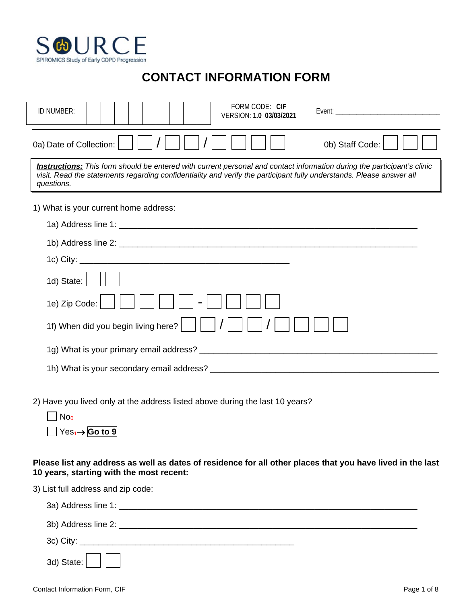

## **CONTACT INFORMATION FORM**

| FORM CODE: CIF<br>ID NUMBER:<br>VERSION: 1.0 03/03/2021                                                                                                                                                                                                       |  |  |  |  |  |  |  |  |
|---------------------------------------------------------------------------------------------------------------------------------------------------------------------------------------------------------------------------------------------------------------|--|--|--|--|--|--|--|--|
| 0b) Staff Code:<br>0a) Date of Collection:                                                                                                                                                                                                                    |  |  |  |  |  |  |  |  |
| Instructions: This form should be entered with current personal and contact information during the participant's clinic<br>visit. Read the statements regarding confidentiality and verify the participant fully understands. Please answer all<br>questions. |  |  |  |  |  |  |  |  |
| 1) What is your current home address:                                                                                                                                                                                                                         |  |  |  |  |  |  |  |  |
|                                                                                                                                                                                                                                                               |  |  |  |  |  |  |  |  |
|                                                                                                                                                                                                                                                               |  |  |  |  |  |  |  |  |
|                                                                                                                                                                                                                                                               |  |  |  |  |  |  |  |  |
| 1d) State:                                                                                                                                                                                                                                                    |  |  |  |  |  |  |  |  |
| 1e) Zip Code:                                                                                                                                                                                                                                                 |  |  |  |  |  |  |  |  |
| 1f) When did you begin living here?                                                                                                                                                                                                                           |  |  |  |  |  |  |  |  |
|                                                                                                                                                                                                                                                               |  |  |  |  |  |  |  |  |
|                                                                                                                                                                                                                                                               |  |  |  |  |  |  |  |  |
| 2) Have you lived only at the address listed above during the last 10 years?<br>No <sub>0</sub>                                                                                                                                                               |  |  |  |  |  |  |  |  |

Yes1→ **Go to 9**

**Please list any address as well as dates of residence for all other places that you have lived in the last 10 years, starting with the most recent:**

3) List full address and zip code: 3a) Address line 1: \_\_\_\_\_\_\_\_\_\_\_\_\_\_\_\_\_\_\_\_\_\_\_\_\_\_\_\_\_\_\_\_\_\_\_\_\_\_\_\_\_\_\_\_\_\_\_\_\_\_\_\_\_\_\_\_\_\_\_\_\_\_\_\_ 3b) Address line 2: \_\_\_\_\_\_\_\_\_\_\_\_\_\_\_\_\_\_\_\_\_\_\_\_\_\_\_\_\_\_\_\_\_\_\_\_\_\_\_\_\_\_\_\_\_\_\_\_\_\_\_\_\_\_\_\_\_\_\_\_\_\_\_\_ 3c) City: \_\_\_\_\_\_\_\_\_\_\_\_\_\_\_\_\_\_\_\_\_\_\_\_\_\_\_\_\_\_\_\_\_\_\_\_\_\_\_\_\_\_\_\_\_\_ 3d) State: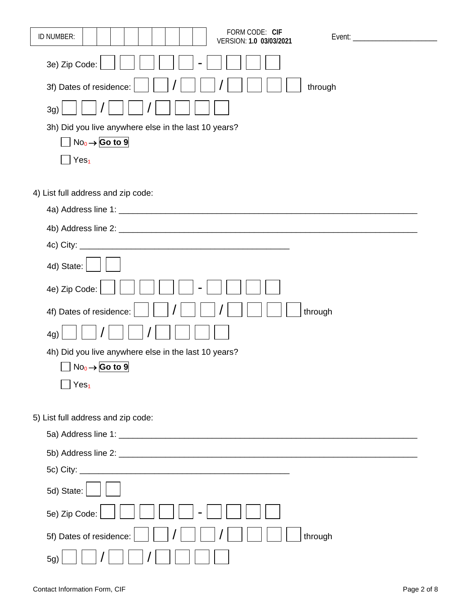| FORM CODE: CIF<br>ID NUMBER:<br>Event: ______________________<br>VERSION: 1.0 03/03/2021 |
|------------------------------------------------------------------------------------------|
|                                                                                          |
| 3e) Zip Code:                                                                            |
| 3f) Dates of residence:<br>through                                                       |
| 3g)                                                                                      |
| 3h) Did you live anywhere else in the last 10 years?                                     |
| $No_0 \rightarrow$ Go to 9                                                               |
| Yes <sub>1</sub>                                                                         |
|                                                                                          |
| 4) List full address and zip code:                                                       |
|                                                                                          |
|                                                                                          |
|                                                                                          |
| 4d) State:                                                                               |
| 4e) Zip Code:                                                                            |
| 4f) Dates of residence:<br>through                                                       |
| 4g)                                                                                      |
| 4h) Did you live anywhere else in the last 10 years?                                     |
| $\Box$ No <sub>0</sub> $\rightarrow$ Go to 9                                             |
| Yes <sub>1</sub>                                                                         |
|                                                                                          |
| 5) List full address and zip code:                                                       |
|                                                                                          |
|                                                                                          |
|                                                                                          |
| 5d) State:                                                                               |
| 5e) Zip Code:                                                                            |
| 5f) Dates of residence:<br>through                                                       |
| 5g)                                                                                      |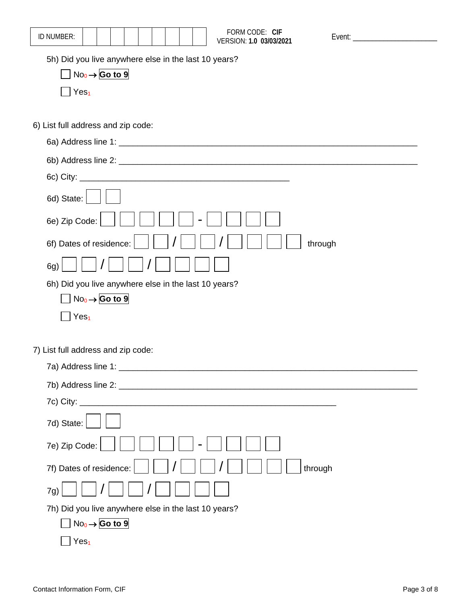| ID NUMBER:                                                                         | FORM CODE: CIF<br>VERSION: 1.0 03/03/2021 | Event: __________________________ |
|------------------------------------------------------------------------------------|-------------------------------------------|-----------------------------------|
| 5h) Did you live anywhere else in the last 10 years?<br>$No_0 \rightarrow$ Go to 9 |                                           |                                   |
| Yes <sub>1</sub>                                                                   |                                           |                                   |
| 6) List full address and zip code:                                                 |                                           |                                   |
|                                                                                    |                                           |                                   |
|                                                                                    |                                           |                                   |
|                                                                                    |                                           |                                   |
| 6d) State:                                                                         |                                           |                                   |
| 6e) Zip Code:                                                                      |                                           |                                   |
| 6f) Dates of residence:                                                            |                                           | through                           |
| 6g)                                                                                |                                           |                                   |
| 6h) Did you live anywhere else in the last 10 years?                               |                                           |                                   |
| $No_0 \rightarrow$ Go to 9                                                         |                                           |                                   |
| Yes <sub>1</sub>                                                                   |                                           |                                   |
| 7) List full address and zip code:                                                 |                                           |                                   |
| 7a) Address line 1: _________                                                      |                                           |                                   |
|                                                                                    |                                           |                                   |
|                                                                                    |                                           |                                   |
| 7d) State:                                                                         |                                           |                                   |
| 7e) Zip Code:                                                                      |                                           |                                   |
| 7f) Dates of residence:                                                            |                                           | through                           |
| 7g)                                                                                |                                           |                                   |
| 7h) Did you live anywhere else in the last 10 years?                               |                                           |                                   |
| $No_0 \rightarrow$ Go to 9                                                         |                                           |                                   |
| Yes <sub>1</sub>                                                                   |                                           |                                   |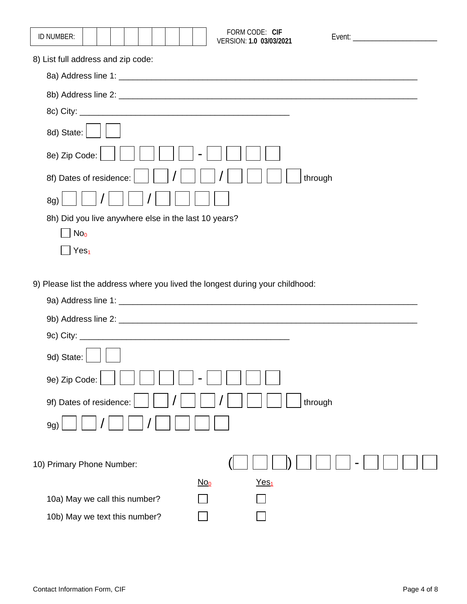| ID NUMBER:                                           |  |  |  |  | FORM CODE: CIF<br>VERSION: 1.0 03/03/2021 | Event: Event and the state of the state of the state of the state of the state of the state of the state of the state of the state of the state of the state of the state of the state of the state of the state of the state |  |
|------------------------------------------------------|--|--|--|--|-------------------------------------------|-------------------------------------------------------------------------------------------------------------------------------------------------------------------------------------------------------------------------------|--|
| 8) List full address and zip code:                   |  |  |  |  |                                           |                                                                                                                                                                                                                               |  |
|                                                      |  |  |  |  |                                           |                                                                                                                                                                                                                               |  |
|                                                      |  |  |  |  |                                           |                                                                                                                                                                                                                               |  |
|                                                      |  |  |  |  |                                           |                                                                                                                                                                                                                               |  |
| 8d) State:                                           |  |  |  |  |                                           |                                                                                                                                                                                                                               |  |
| 8e) Zip Code:                                        |  |  |  |  |                                           |                                                                                                                                                                                                                               |  |
| 8f) Dates of residence:                              |  |  |  |  |                                           | through                                                                                                                                                                                                                       |  |
| 8g)                                                  |  |  |  |  |                                           |                                                                                                                                                                                                                               |  |
| 8h) Did you live anywhere else in the last 10 years? |  |  |  |  |                                           |                                                                                                                                                                                                                               |  |
| No <sub>0</sub>                                      |  |  |  |  |                                           |                                                                                                                                                                                                                               |  |
| Yes <sub>1</sub>                                     |  |  |  |  |                                           |                                                                                                                                                                                                                               |  |

9) Please list the address where you lived the longest during your childhood:

| 9d) State:                    |        |                  |         |  |
|-------------------------------|--------|------------------|---------|--|
| 9e) Zip Code:                 |        |                  |         |  |
| 9f) Dates of residence:       |        |                  | through |  |
| 9g)                           |        |                  |         |  |
|                               |        |                  |         |  |
| 10) Primary Phone Number:     |        |                  |         |  |
|                               | $No_0$ | Yes <sub>1</sub> |         |  |
| 10a) May we call this number? |        |                  |         |  |
| 10b) May we text this number? |        |                  |         |  |
|                               |        |                  |         |  |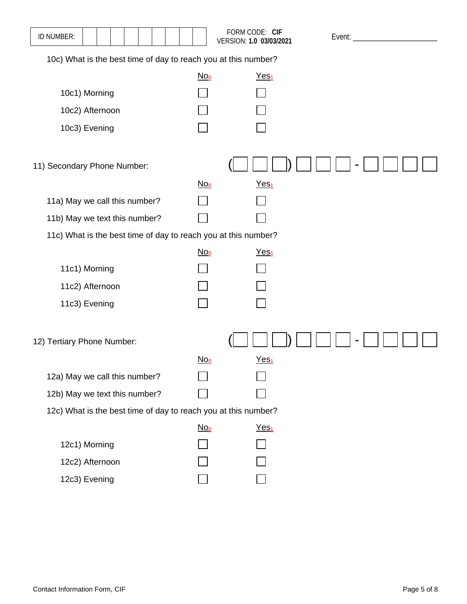| ID NUMBER:                                                     |        | FORM CODE: CIF<br>VERSION: 1.0 03/03/2021 | Event: $\_\_$ |  |  |  |  |  |  |
|----------------------------------------------------------------|--------|-------------------------------------------|---------------|--|--|--|--|--|--|
| 10c) What is the best time of day to reach you at this number? |        |                                           |               |  |  |  |  |  |  |
|                                                                | $No_0$ | Yes <sub>1</sub>                          |               |  |  |  |  |  |  |
| 10c1) Morning                                                  |        |                                           |               |  |  |  |  |  |  |
| 10c2) Afternoon                                                |        |                                           |               |  |  |  |  |  |  |
| 10c3) Evening                                                  |        |                                           |               |  |  |  |  |  |  |
| 11) Secondary Phone Number:                                    |        |                                           |               |  |  |  |  |  |  |
|                                                                | $No_0$ | Yes <sub>1</sub>                          |               |  |  |  |  |  |  |
| 11a) May we call this number?                                  |        |                                           |               |  |  |  |  |  |  |
| 11b) May we text this number?                                  |        |                                           |               |  |  |  |  |  |  |
| 11c) What is the best time of day to reach you at this number? |        |                                           |               |  |  |  |  |  |  |
|                                                                | $No_0$ | Yes <sub>1</sub>                          |               |  |  |  |  |  |  |
| 11c1) Morning                                                  |        |                                           |               |  |  |  |  |  |  |
| 11c2) Afternoon                                                |        |                                           |               |  |  |  |  |  |  |
| 11c3) Evening                                                  |        |                                           |               |  |  |  |  |  |  |
| 12) Tertiary Phone Number:                                     |        |                                           |               |  |  |  |  |  |  |
|                                                                | $No_0$ | Yes <sub>1</sub>                          |               |  |  |  |  |  |  |
| 12a) May we call this number?                                  |        |                                           |               |  |  |  |  |  |  |
| 12b) May we text this number?                                  |        |                                           |               |  |  |  |  |  |  |
| 12c) What is the best time of day to reach you at this number? |        |                                           |               |  |  |  |  |  |  |
|                                                                | $No_0$ | $Yes1$                                    |               |  |  |  |  |  |  |
| 12c1) Morning                                                  |        |                                           |               |  |  |  |  |  |  |
| 12c2) Afternoon                                                |        |                                           |               |  |  |  |  |  |  |
| 12c3) Evening                                                  |        |                                           |               |  |  |  |  |  |  |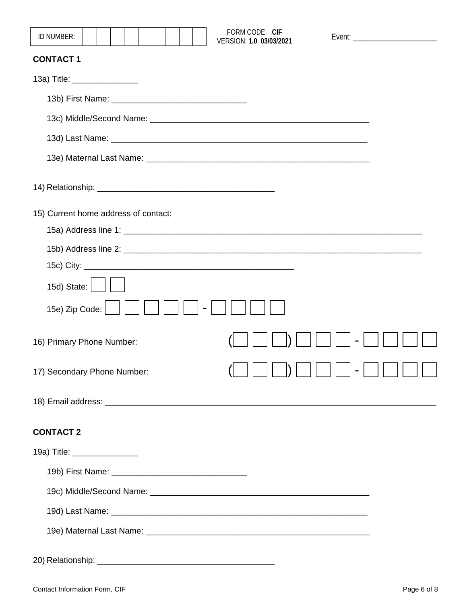| FORM CODE: CIF<br>ID NUMBER:<br>Event: __________________________<br>VERSION: 1.0 03/03/2021 |
|----------------------------------------------------------------------------------------------|
| <b>CONTACT1</b>                                                                              |
| 13a) Title: ________________                                                                 |
|                                                                                              |
|                                                                                              |
|                                                                                              |
|                                                                                              |
|                                                                                              |
| 15) Current home address of contact:                                                         |
|                                                                                              |
|                                                                                              |
|                                                                                              |
| 15d) State: $ $                                                                              |
| 15e) Zip Code:                                                                               |
| 16) Primary Phone Number:                                                                    |
| $\mathbf{N}$ $\mathbf{N}$<br>$\mathcal{L}$<br>17) Secondary Phone Number:                    |
|                                                                                              |
| <b>CONTACT 2</b>                                                                             |
| 19a) Title: _________________                                                                |
|                                                                                              |
|                                                                                              |
|                                                                                              |
|                                                                                              |
|                                                                                              |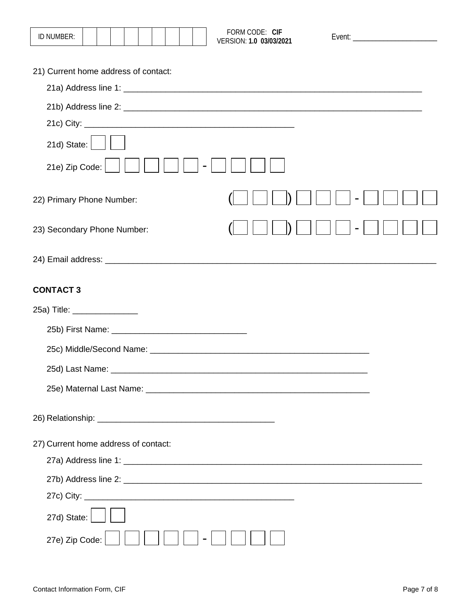| ID NUMBER:                           |  |  |  |  | FORM CODE: CIF<br>VERSION: 1.0 03/03/2021                                                                                                                                                                                      |  |  |
|--------------------------------------|--|--|--|--|--------------------------------------------------------------------------------------------------------------------------------------------------------------------------------------------------------------------------------|--|--|
| 21) Current home address of contact: |  |  |  |  |                                                                                                                                                                                                                                |  |  |
|                                      |  |  |  |  |                                                                                                                                                                                                                                |  |  |
|                                      |  |  |  |  |                                                                                                                                                                                                                                |  |  |
|                                      |  |  |  |  |                                                                                                                                                                                                                                |  |  |
| $21d)$ State: $\vert$                |  |  |  |  |                                                                                                                                                                                                                                |  |  |
| 21e) Zip Code:                       |  |  |  |  |                                                                                                                                                                                                                                |  |  |
| 22) Primary Phone Number:            |  |  |  |  |                                                                                                                                                                                                                                |  |  |
| 23) Secondary Phone Number:          |  |  |  |  |                                                                                                                                                                                                                                |  |  |
|                                      |  |  |  |  |                                                                                                                                                                                                                                |  |  |
| <b>CONTACT 3</b>                     |  |  |  |  |                                                                                                                                                                                                                                |  |  |
| 25a) Title: _________________        |  |  |  |  |                                                                                                                                                                                                                                |  |  |
|                                      |  |  |  |  |                                                                                                                                                                                                                                |  |  |
|                                      |  |  |  |  | 25c) Middle/Second Name: Law and Contract and Contract and Contract and Contract and Contract and Contract and Contract and Contract and Contract and Contract and Contract and Contract and Contract and Contract and Contrac |  |  |
| 25d) Last Name: _________            |  |  |  |  |                                                                                                                                                                                                                                |  |  |
|                                      |  |  |  |  |                                                                                                                                                                                                                                |  |  |
|                                      |  |  |  |  |                                                                                                                                                                                                                                |  |  |
| 27) Current home address of contact: |  |  |  |  |                                                                                                                                                                                                                                |  |  |
|                                      |  |  |  |  |                                                                                                                                                                                                                                |  |  |
|                                      |  |  |  |  |                                                                                                                                                                                                                                |  |  |
|                                      |  |  |  |  |                                                                                                                                                                                                                                |  |  |
| 27d) State:                          |  |  |  |  |                                                                                                                                                                                                                                |  |  |
| 27e) Zip Code:                       |  |  |  |  |                                                                                                                                                                                                                                |  |  |